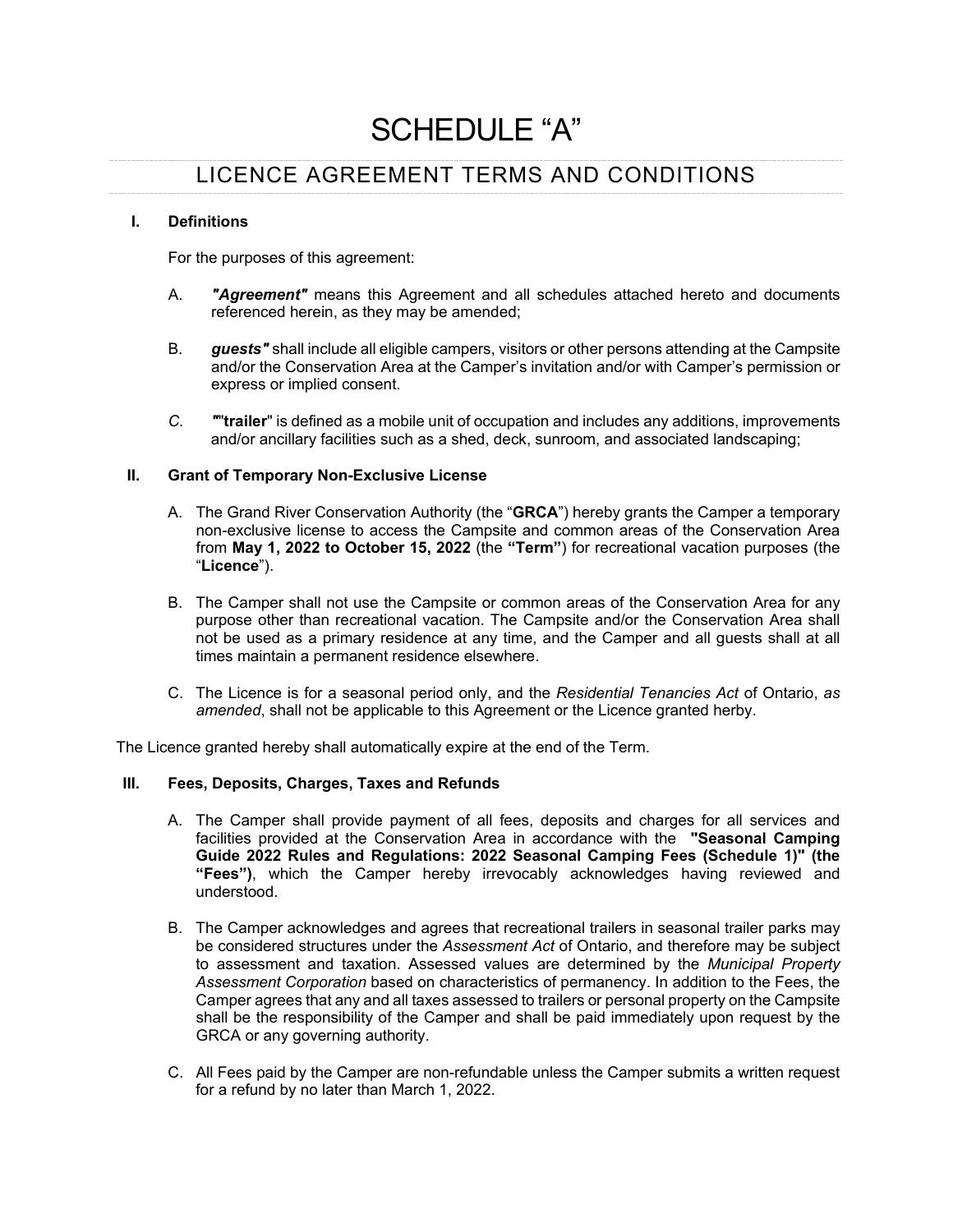# SCHEDULE "A"

# LICENCE AGREEMENT TERMS AND CONDITIONS

#### **I. Definitions**

For the purposes of this agreement:

- A. *"Agreement"* means this Agreement and all schedules attached hereto and documents referenced herein, as they may be amended;
- B. *guests"* shall include all eligible campers, visitors or other persons attending at the Campsite and/or the Conservation Area at the Camper's invitation and/or with Camper's permission or express or implied consent.
- *C. "*"**trailer**" is defined as a mobile unit of occupation and includes any additions, improvements and/or ancillary facilities such as a shed, deck, sunroom, and associated landscaping;

# **II. Grant of Temporary Non-Exclusive License**

- A. The Grand River Conservation Authority (the "**GRCA**") hereby grants the Camper a temporary non-exclusive license to access the Campsite and common areas of the Conservation Area from **May 1, 2022 to October 15, 2022** (the **"Term"**) for recreational vacation purposes (the "**Licence**").
- B. The Camper shall not use the Campsite or common areas of the Conservation Area for any purpose other than recreational vacation. The Campsite and/or the Conservation Area shall not be used as a primary residence at any time, and the Camper and all guests shall at all times maintain a permanent residence elsewhere.
- C. The Licence is for a seasonal period only, and the *Residential Tenancies Act* of Ontario, *as amended*, shall not be applicable to this Agreement or the Licence granted herby.

The Licence granted hereby shall automatically expire at the end of the Term.

# **III. Fees, Deposits, Charges, Taxes and Refunds**

- A. The Camper shall provide payment of all fees, deposits and charges for all services and facilities provided at the Conservation Area in accordance with the **"Seasonal Camping Guide 2022 Rules and Regulations: 2022 Seasonal Camping Fees (Schedule 1)" (the "Fees")**, which the Camper hereby irrevocably acknowledges having reviewed and understood.
- B. The Camper acknowledges and agrees that recreational trailers in seasonal trailer parks may be considered structures under the *Assessment Act* of Ontario, and therefore may be subject to assessment and taxation. Assessed values are determined by the *Municipal Property Assessment Corporation* based on characteristics of permanency. In addition to the Fees, the Camper agrees that any and all taxes assessed to trailers or personal property on the Campsite shall be the responsibility of the Camper and shall be paid immediately upon request by the GRCA or any governing authority.
- C. All Fees paid by the Camper are non-refundable unless the Camper submits a written request for a refund by no later than March 1, 2022.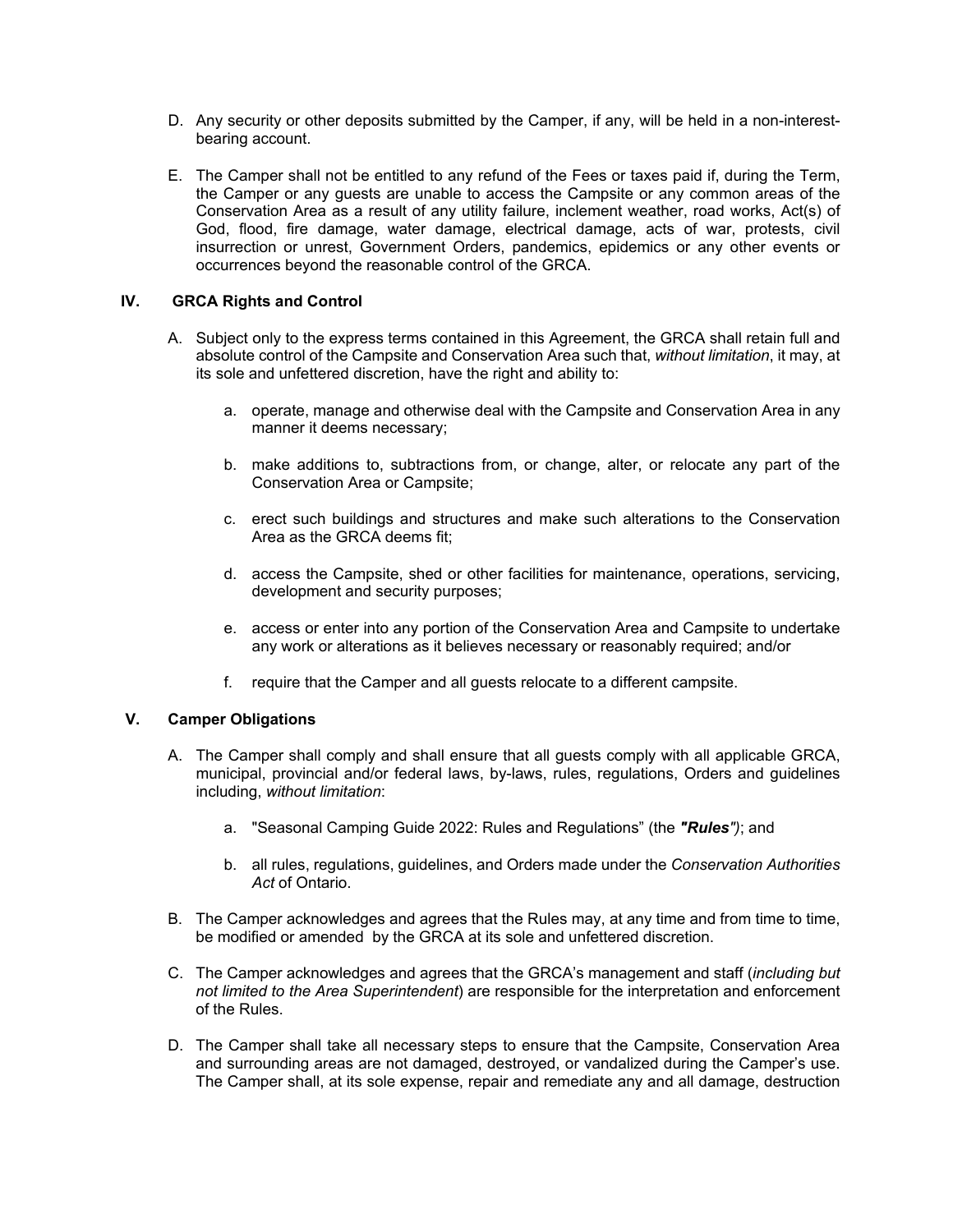- D. Any security or other deposits submitted by the Camper, if any, will be held in a non-interestbearing account.
- E. The Camper shall not be entitled to any refund of the Fees or taxes paid if, during the Term, the Camper or any guests are unable to access the Campsite or any common areas of the Conservation Area as a result of any utility failure, inclement weather, road works, Act(s) of God, flood, fire damage, water damage, electrical damage, acts of war, protests, civil insurrection or unrest, Government Orders, pandemics, epidemics or any other events or occurrences beyond the reasonable control of the GRCA.

# **IV. GRCA Rights and Control**

- A. Subject only to the express terms contained in this Agreement, the GRCA shall retain full and absolute control of the Campsite and Conservation Area such that, *without limitation*, it may, at its sole and unfettered discretion, have the right and ability to:
	- a. operate, manage and otherwise deal with the Campsite and Conservation Area in any manner it deems necessary;
	- b. make additions to, subtractions from, or change, alter, or relocate any part of the Conservation Area or Campsite;
	- c. erect such buildings and structures and make such alterations to the Conservation Area as the GRCA deems fit;
	- d. access the Campsite, shed or other facilities for maintenance, operations, servicing, development and security purposes;
	- e. access or enter into any portion of the Conservation Area and Campsite to undertake any work or alterations as it believes necessary or reasonably required; and/or
	- f. require that the Camper and all guests relocate to a different campsite.

#### **V. Camper Obligations**

- A. The Camper shall comply and shall ensure that all guests comply with all applicable GRCA, municipal, provincial and/or federal laws, by-laws, rules, regulations, Orders and guidelines including, *without limitation*:
	- a. "Seasonal Camping Guide 2022: Rules and Regulations" (the *"Rules")*; and
	- b. all rules, regulations, guidelines, and Orders made under the *Conservation Authorities Act* of Ontario.
- B. The Camper acknowledges and agrees that the Rules may, at any time and from time to time, be modified or amended by the GRCA at its sole and unfettered discretion.
- C. The Camper acknowledges and agrees that the GRCA's management and staff (*including but not limited to the Area Superintendent*) are responsible for the interpretation and enforcement of the Rules.
- D. The Camper shall take all necessary steps to ensure that the Campsite, Conservation Area and surrounding areas are not damaged, destroyed, or vandalized during the Camper's use. The Camper shall, at its sole expense, repair and remediate any and all damage, destruction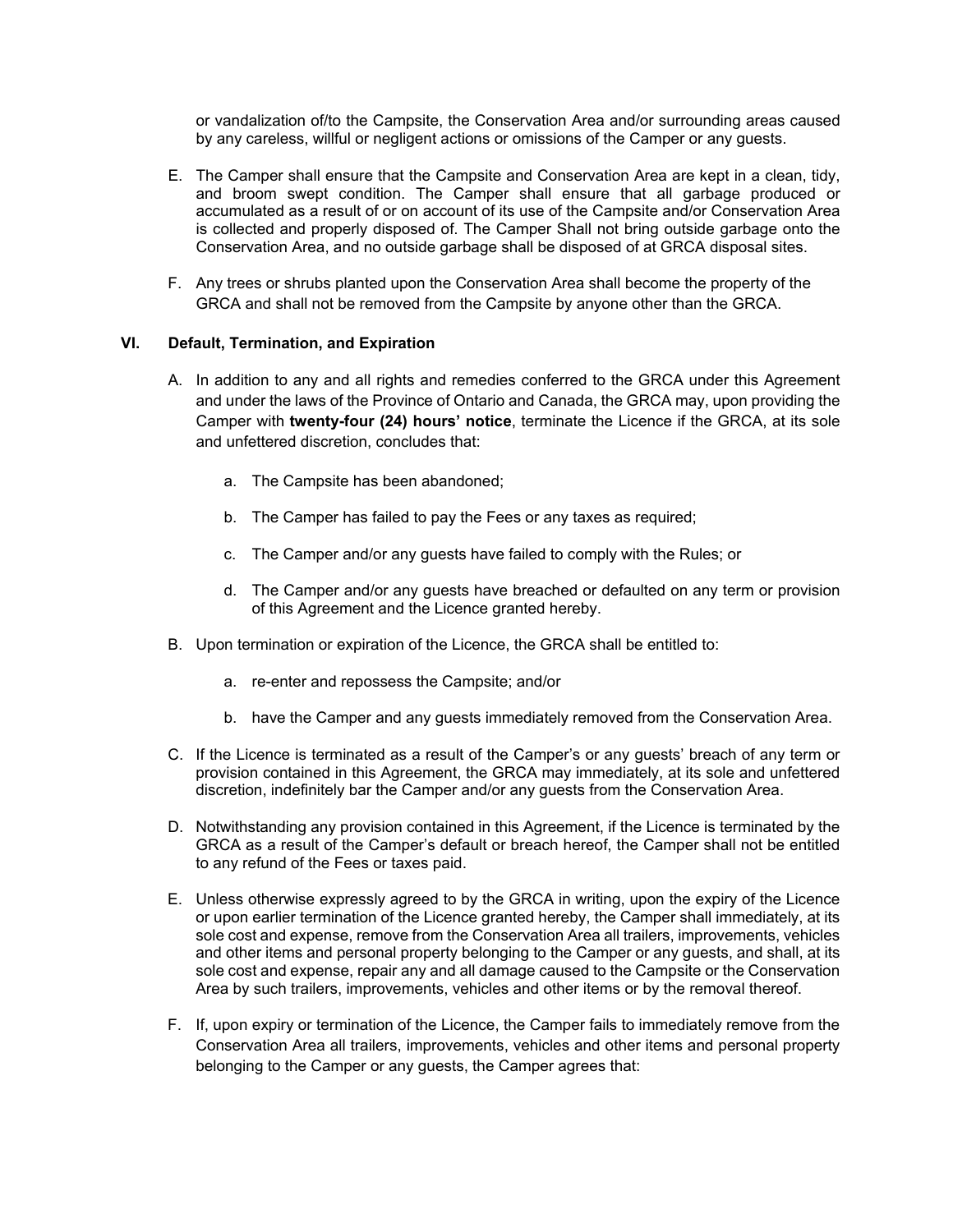or vandalization of/to the Campsite, the Conservation Area and/or surrounding areas caused by any careless, willful or negligent actions or omissions of the Camper or any guests.

- E. The Camper shall ensure that the Campsite and Conservation Area are kept in a clean, tidy, and broom swept condition. The Camper shall ensure that all garbage produced or accumulated as a result of or on account of its use of the Campsite and/or Conservation Area is collected and properly disposed of. The Camper Shall not bring outside garbage onto the Conservation Area, and no outside garbage shall be disposed of at GRCA disposal sites.
- F. Any trees or shrubs planted upon the Conservation Area shall become the property of the GRCA and shall not be removed from the Campsite by anyone other than the GRCA.

# **VI. Default, Termination, and Expiration**

- A. In addition to any and all rights and remedies conferred to the GRCA under this Agreement and under the laws of the Province of Ontario and Canada, the GRCA may, upon providing the Camper with **twenty-four (24) hours' notice**, terminate the Licence if the GRCA, at its sole and unfettered discretion, concludes that:
	- a. The Campsite has been abandoned;
	- b. The Camper has failed to pay the Fees or any taxes as required;
	- c. The Camper and/or any guests have failed to comply with the Rules; or
	- d. The Camper and/or any guests have breached or defaulted on any term or provision of this Agreement and the Licence granted hereby.
- B. Upon termination or expiration of the Licence, the GRCA shall be entitled to:
	- a. re-enter and repossess the Campsite; and/or
	- b. have the Camper and any guests immediately removed from the Conservation Area.
- C. If the Licence is terminated as a result of the Camper's or any guests' breach of any term or provision contained in this Agreement, the GRCA may immediately, at its sole and unfettered discretion, indefinitely bar the Camper and/or any guests from the Conservation Area.
- D. Notwithstanding any provision contained in this Agreement, if the Licence is terminated by the GRCA as a result of the Camper's default or breach hereof, the Camper shall not be entitled to any refund of the Fees or taxes paid.
- E. Unless otherwise expressly agreed to by the GRCA in writing, upon the expiry of the Licence or upon earlier termination of the Licence granted hereby, the Camper shall immediately, at its sole cost and expense, remove from the Conservation Area all trailers, improvements, vehicles and other items and personal property belonging to the Camper or any guests, and shall, at its sole cost and expense, repair any and all damage caused to the Campsite or the Conservation Area by such trailers, improvements, vehicles and other items or by the removal thereof.
- F. If, upon expiry or termination of the Licence, the Camper fails to immediately remove from the Conservation Area all trailers, improvements, vehicles and other items and personal property belonging to the Camper or any guests, the Camper agrees that: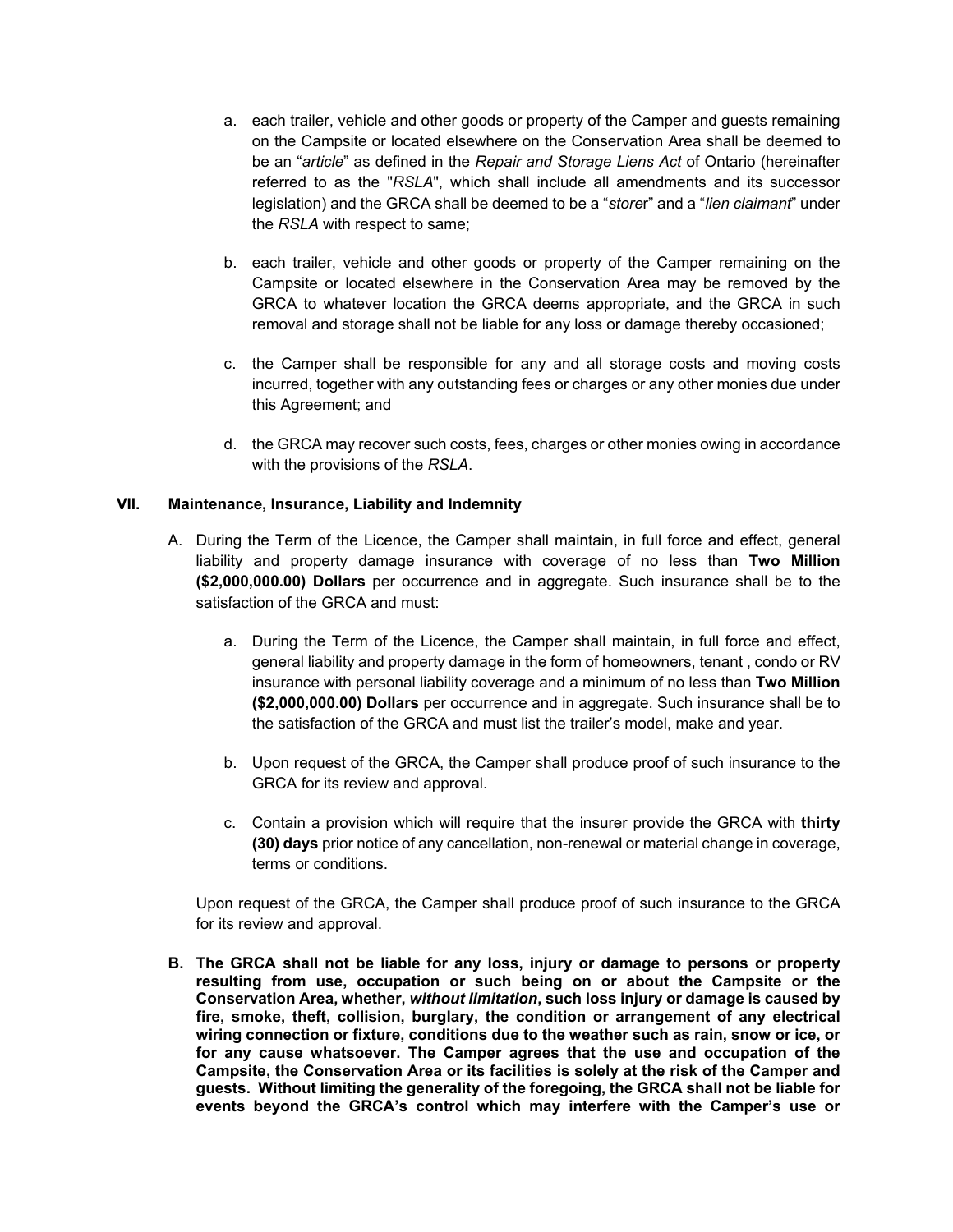- a. each trailer, vehicle and other goods or property of the Camper and guests remaining on the Campsite or located elsewhere on the Conservation Area shall be deemed to be an "*article*" as defined in the *Repair and Storage Liens Act* of Ontario (hereinafter referred to as the "*RSLA*", which shall include all amendments and its successor legislation) and the GRCA shall be deemed to be a "*store*r" and a "*lien claimant*" under the *RSLA* with respect to same;
- b. each trailer, vehicle and other goods or property of the Camper remaining on the Campsite or located elsewhere in the Conservation Area may be removed by the GRCA to whatever location the GRCA deems appropriate, and the GRCA in such removal and storage shall not be liable for any loss or damage thereby occasioned;
- c. the Camper shall be responsible for any and all storage costs and moving costs incurred, together with any outstanding fees or charges or any other monies due under this Agreement; and
- d. the GRCA may recover such costs, fees, charges or other monies owing in accordance with the provisions of the *RSLA*.

# **VII. Maintenance, Insurance, Liability and Indemnity**

- A. During the Term of the Licence, the Camper shall maintain, in full force and effect, general liability and property damage insurance with coverage of no less than **Two Million (\$2,000,000.00) Dollars** per occurrence and in aggregate. Such insurance shall be to the satisfaction of the GRCA and must:
	- a. During the Term of the Licence, the Camper shall maintain, in full force and effect, general liability and property damage in the form of homeowners, tenant , condo or RV insurance with personal liability coverage and a minimum of no less than **Two Million (\$2,000,000.00) Dollars** per occurrence and in aggregate. Such insurance shall be to the satisfaction of the GRCA and must list the trailer's model, make and year.
	- b. Upon request of the GRCA, the Camper shall produce proof of such insurance to the GRCA for its review and approval.
	- c. Contain a provision which will require that the insurer provide the GRCA with **thirty (30) days** prior notice of any cancellation, non-renewal or material change in coverage, terms or conditions.

Upon request of the GRCA, the Camper shall produce proof of such insurance to the GRCA for its review and approval.

**B. The GRCA shall not be liable for any loss, injury or damage to persons or property resulting from use, occupation or such being on or about the Campsite or the Conservation Area, whether,** *without limitation***, such loss injury or damage is caused by fire, smoke, theft, collision, burglary, the condition or arrangement of any electrical wiring connection or fixture, conditions due to the weather such as rain, snow or ice, or for any cause whatsoever. The Camper agrees that the use and occupation of the Campsite, the Conservation Area or its facilities is solely at the risk of the Camper and guests. Without limiting the generality of the foregoing, the GRCA shall not be liable for events beyond the GRCA's control which may interfere with the Camper's use or**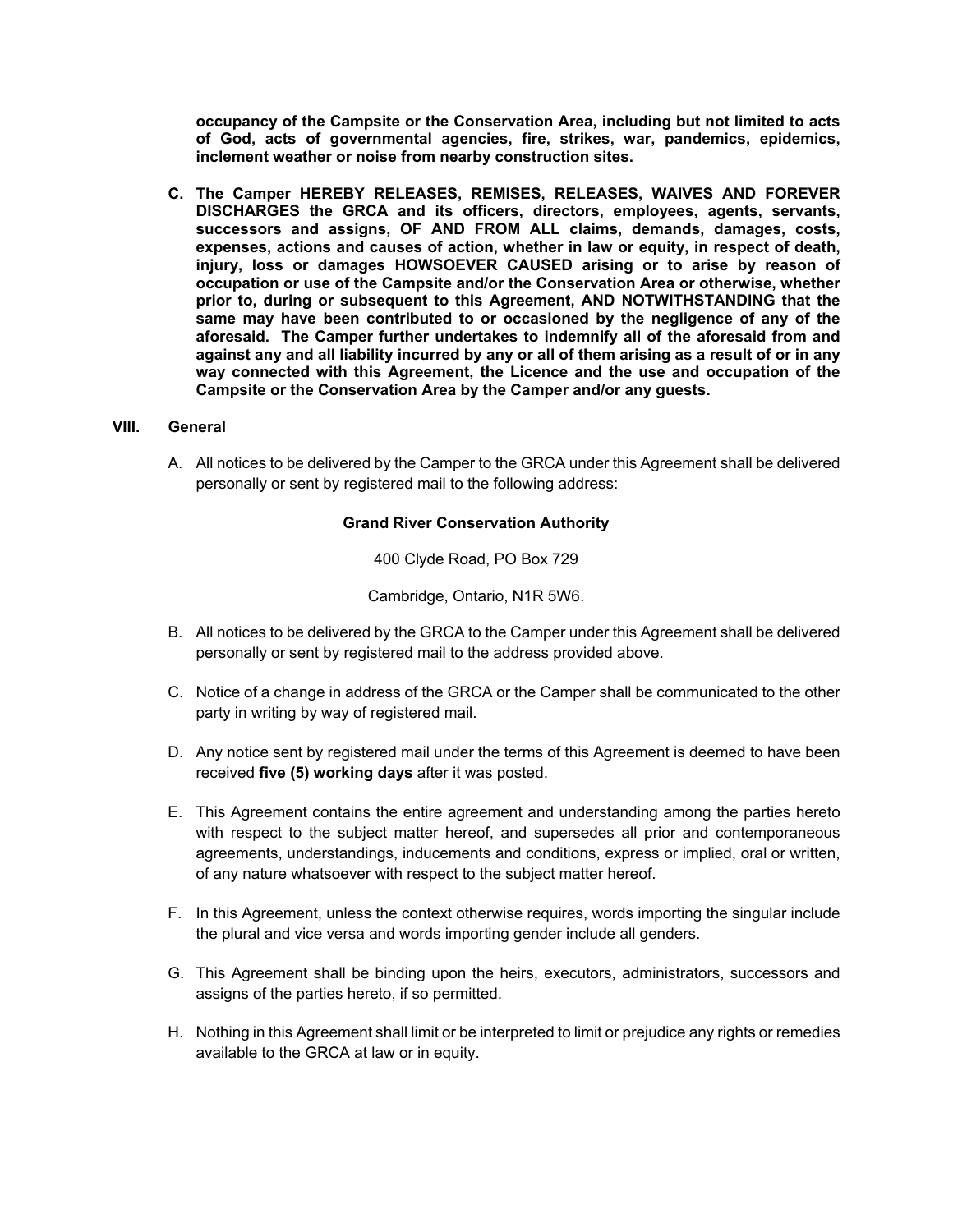**occupancy of the Campsite or the Conservation Area, including but not limited to acts of God, acts of governmental agencies, fire, strikes, war, pandemics, epidemics, inclement weather or noise from nearby construction sites.**

**C. The Camper HEREBY RELEASES, REMISES, RELEASES, WAIVES AND FOREVER DISCHARGES the GRCA and its officers, directors, employees, agents, servants, successors and assigns, OF AND FROM ALL claims, demands, damages, costs, expenses, actions and causes of action, whether in law or equity, in respect of death, injury, loss or damages HOWSOEVER CAUSED arising or to arise by reason of occupation or use of the Campsite and/or the Conservation Area or otherwise, whether prior to, during or subsequent to this Agreement, AND NOTWITHSTANDING that the same may have been contributed to or occasioned by the negligence of any of the aforesaid. The Camper further undertakes to indemnify all of the aforesaid from and against any and all liability incurred by any or all of them arising as a result of or in any way connected with this Agreement, the Licence and the use and occupation of the Campsite or the Conservation Area by the Camper and/or any guests.** 

#### **VIII. General**

A. All notices to be delivered by the Camper to the GRCA under this Agreement shall be delivered personally or sent by registered mail to the following address:

#### **Grand River Conservation Authority**

400 Clyde Road, PO Box 729

Cambridge, Ontario, N1R 5W6.

- B. All notices to be delivered by the GRCA to the Camper under this Agreement shall be delivered personally or sent by registered mail to the address provided above.
- C. Notice of a change in address of the GRCA or the Camper shall be communicated to the other party in writing by way of registered mail.
- D. Any notice sent by registered mail under the terms of this Agreement is deemed to have been received **five (5) working days** after it was posted.
- E. This Agreement contains the entire agreement and understanding among the parties hereto with respect to the subject matter hereof, and supersedes all prior and contemporaneous agreements, understandings, inducements and conditions, express or implied, oral or written, of any nature whatsoever with respect to the subject matter hereof.
- F. In this Agreement, unless the context otherwise requires, words importing the singular include the plural and vice versa and words importing gender include all genders.
- G. This Agreement shall be binding upon the heirs, executors, administrators, successors and assigns of the parties hereto, if so permitted.
- H. Nothing in this Agreement shall limit or be interpreted to limit or prejudice any rights or remedies available to the GRCA at law or in equity.